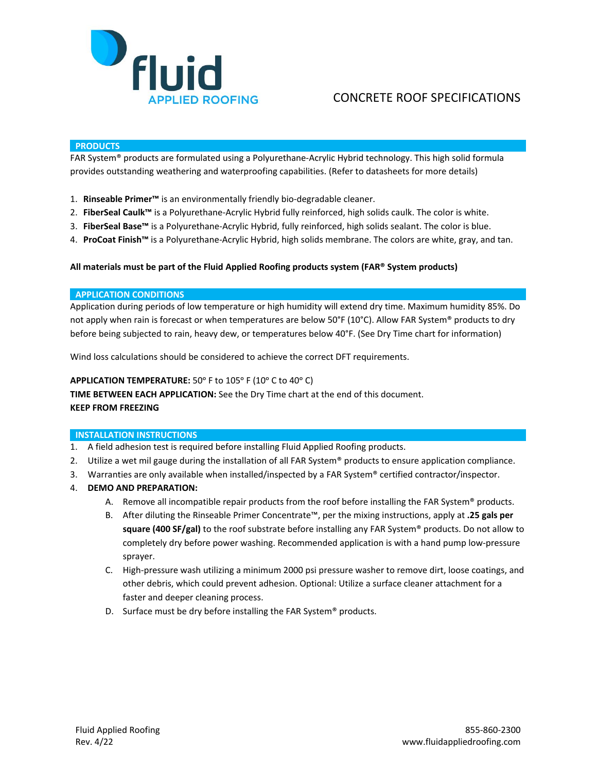

# CONCRETE ROOF SPECIFICATIONS

### **PRODUCTS**

FAR System® products are formulated using a Polyurethane-Acrylic Hybrid technology. This high solid formula provides outstanding weathering and waterproofing capabilities. (Refer to datasheets for more details)

- 1. **Rinseable Primer™** is an environmentally friendly bio-degradable cleaner.
- 2. **FiberSeal Caulk™** is a Polyurethane-Acrylic Hybrid fully reinforced, high solids caulk. The color is white.
- 3. **FiberSeal Base™** is a Polyurethane-Acrylic Hybrid, fully reinforced, high solids sealant. The color is blue.
- 4. **ProCoat Finish™** is a Polyurethane-Acrylic Hybrid, high solids membrane. The colors are white, gray, and tan.

## **All materials must be part of the Fluid Applied Roofing products system (FAR® System products)**

#### **APPLICATION CONDITIONS**

Application during periods of low temperature or high humidity will extend dry time. Maximum humidity 85%. Do not apply when rain is forecast or when temperatures are below 50°F (10°C). Allow FAR System® products to dry before being subjected to rain, heavy dew, or temperatures below 40°F. (See Dry Time chart for information)

Wind loss calculations should be considered to achieve the correct DFT requirements.

#### APPLICATION TEMPERATURE: 50° F to 105° F (10° C to 40° C)

**TIME BETWEEN EACH APPLICATION:** See the Dry Time chart at the end of this document.

#### **KEEP FROM FREEZING**

# **INSTALLATION INSTRUCTIONS**

- 1. A field adhesion test is required before installing Fluid Applied Roofing products.
- 2. Utilize a wet mil gauge during the installation of all FAR System® products to ensure application compliance.
- 3. Warranties are only available when installed/inspected by a FAR System® certified contractor/inspector.
- 4. **DEMO AND PREPARATION:**
	- A. Remove all incompatible repair products from the roof before installing the FAR System® products.
	- B. After diluting the Rinseable Primer Concentrate™, per the mixing instructions, apply at **.25 gals per square (400 SF/gal)** to the roof substrate before installing any FAR System® products. Do not allow to completely dry before power washing. Recommended application is with a hand pump low-pressure sprayer.
	- C. High-pressure wash utilizing a minimum 2000 psi pressure washer to remove dirt, loose coatings, and other debris, which could prevent adhesion. Optional: Utilize a surface cleaner attachment for a faster and deeper cleaning process.
	- D. Surface must be dry before installing the FAR System® products.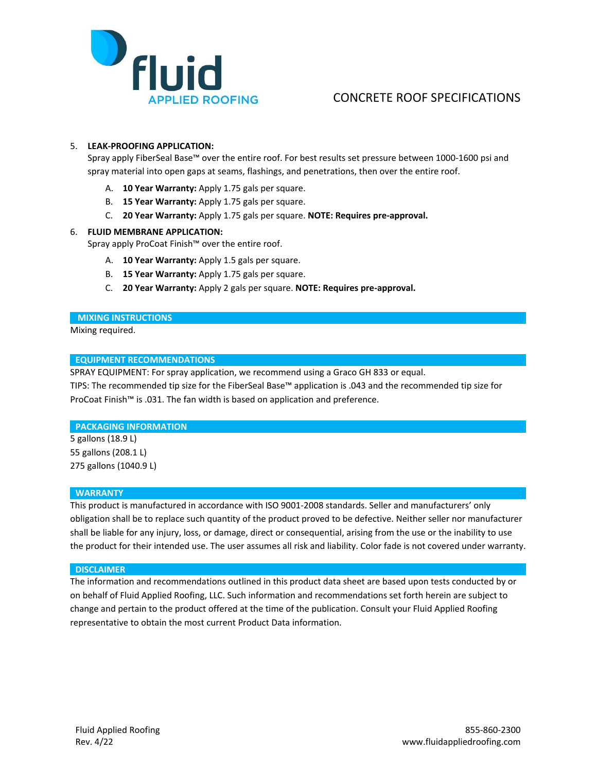

# CONCRETE ROOF SPECIFICATIONS

# 5. **LEAK-PROOFING APPLICATION:**

Spray apply FiberSeal Base™ over the entire roof. For best results set pressure between 1000-1600 psi and spray material into open gaps at seams, flashings, and penetrations, then over the entire roof.

- A. **10 Year Warranty:** Apply 1.75 gals per square.
- B. **15 Year Warranty:** Apply 1.75 gals per square.
- C. **20 Year Warranty:** Apply 1.75 gals per square. **NOTE: Requires pre-approval.**

# 6. **FLUID MEMBRANE APPLICATION:**

Spray apply ProCoat Finish™ over the entire roof.

- A. **10 Year Warranty:** Apply 1.5 gals per square.
- B. **15 Year Warranty:** Apply 1.75 gals per square.
- C. **20 Year Warranty:** Apply 2 gals per square. **NOTE: Requires pre-approval.**

## **MIXING INSTRUCTIONS**

Mixing required.

# **EQUIPMENT RECOMMENDATIONS**

SPRAY EQUIPMENT: For spray application, we recommend using a Graco GH 833 or equal.

TIPS: The recommended tip size for the FiberSeal Base™ application is .043 and the recommended tip size for ProCoat Finish™ is .031. The fan width is based on application and preference.

# **PACKAGING INFORMATION**

5 gallons (18.9 L) 55 gallons (208.1 L) 275 gallons (1040.9 L)

### **WARRANTY**

This product is manufactured in accordance with ISO 9001-2008 standards. Seller and manufacturers' only obligation shall be to replace such quantity of the product proved to be defective. Neither seller nor manufacturer shall be liable for any injury, loss, or damage, direct or consequential, arising from the use or the inability to use the product for their intended use. The user assumes all risk and liability. Color fade is not covered under warranty.

#### **DISCLAIMER**

The information and recommendations outlined in this product data sheet are based upon tests conducted by or on behalf of Fluid Applied Roofing, LLC. Such information and recommendations set forth herein are subject to change and pertain to the product offered at the time of the publication. Consult your Fluid Applied Roofing representative to obtain the most current Product Data information.